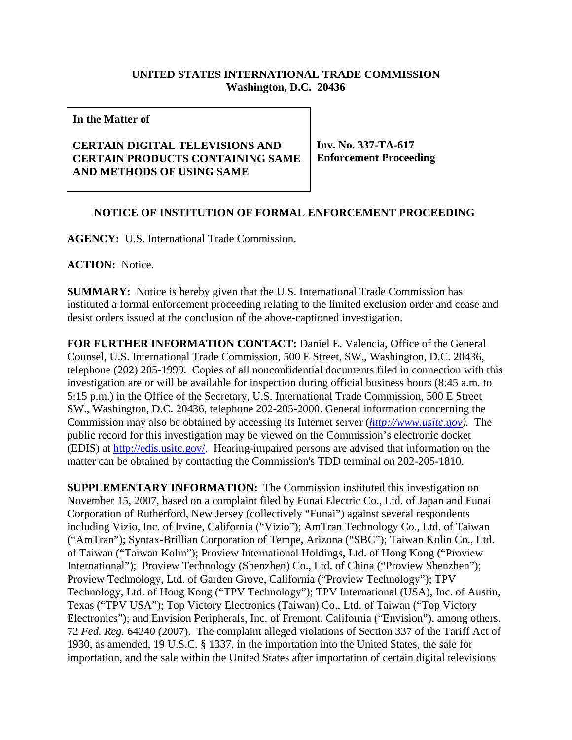## **UNITED STATES INTERNATIONAL TRADE COMMISSION Washington, D.C. 20436**

**In the Matter of**

## **CERTAIN DIGITAL TELEVISIONS AND CERTAIN PRODUCTS CONTAINING SAME AND METHODS OF USING SAME**

**Inv. No. 337-TA-617 Enforcement Proceeding**

## **NOTICE OF INSTITUTION OF FORMAL ENFORCEMENT PROCEEDING**

**AGENCY:** U.S. International Trade Commission.

**ACTION:** Notice.

**SUMMARY:** Notice is hereby given that the U.S. International Trade Commission has instituted a formal enforcement proceeding relating to the limited exclusion order and cease and desist orders issued at the conclusion of the above-captioned investigation.

**FOR FURTHER INFORMATION CONTACT:** Daniel E. Valencia, Office of the General Counsel, U.S. International Trade Commission, 500 E Street, SW., Washington, D.C. 20436, telephone (202) 205-1999. Copies of all nonconfidential documents filed in connection with this investigation are or will be available for inspection during official business hours (8:45 a.m. to 5:15 p.m.) in the Office of the Secretary, U.S. International Trade Commission, 500 E Street SW., Washington, D.C. 20436, telephone 202-205-2000. General information concerning the Commission may also be obtained by accessing its Internet server (*http://www.usitc.gov).* The public record for this investigation may be viewed on the Commission's electronic docket (EDIS) at http://edis.usitc.gov/. Hearing-impaired persons are advised that information on the matter can be obtained by contacting the Commission's TDD terminal on 202-205-1810.

**SUPPLEMENTARY INFORMATION:** The Commission instituted this investigation on November 15, 2007, based on a complaint filed by Funai Electric Co., Ltd. of Japan and Funai Corporation of Rutherford, New Jersey (collectively "Funai") against several respondents including Vizio, Inc. of Irvine, California ("Vizio"); AmTran Technology Co., Ltd. of Taiwan ("AmTran"); Syntax-Brillian Corporation of Tempe, Arizona ("SBC"); Taiwan Kolin Co., Ltd. of Taiwan ("Taiwan Kolin"); Proview International Holdings, Ltd. of Hong Kong ("Proview International"); Proview Technology (Shenzhen) Co., Ltd. of China ("Proview Shenzhen"); Proview Technology, Ltd. of Garden Grove, California ("Proview Technology"); TPV Technology, Ltd. of Hong Kong ("TPV Technology"); TPV International (USA), Inc. of Austin, Texas ("TPV USA"); Top Victory Electronics (Taiwan) Co., Ltd. of Taiwan ("Top Victory Electronics"); and Envision Peripherals, Inc. of Fremont, California ("Envision"), among others. 72 *Fed. Reg.* 64240 (2007). The complaint alleged violations of Section 337 of the Tariff Act of 1930, as amended, 19 U.S.C. § 1337, in the importation into the United States, the sale for importation, and the sale within the United States after importation of certain digital televisions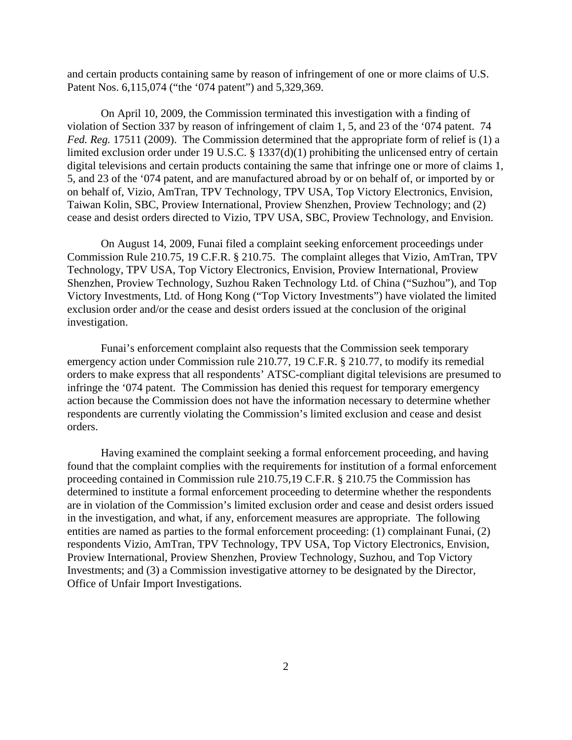and certain products containing same by reason of infringement of one or more claims of U.S. Patent Nos. 6,115,074 ("the '074 patent") and 5,329,369.

On April 10, 2009, the Commission terminated this investigation with a finding of violation of Section 337 by reason of infringement of claim 1, 5, and 23 of the '074 patent. 74 *Fed. Reg.* 17511 (2009). The Commission determined that the appropriate form of relief is (1) a limited exclusion order under 19 U.S.C. § 1337(d)(1) prohibiting the unlicensed entry of certain digital televisions and certain products containing the same that infringe one or more of claims 1, 5, and 23 of the '074 patent, and are manufactured abroad by or on behalf of, or imported by or on behalf of, Vizio, AmTran, TPV Technology, TPV USA, Top Victory Electronics, Envision, Taiwan Kolin, SBC, Proview International, Proview Shenzhen, Proview Technology; and (2) cease and desist orders directed to Vizio, TPV USA, SBC, Proview Technology, and Envision.

On August 14, 2009, Funai filed a complaint seeking enforcement proceedings under Commission Rule 210.75, 19 C.F.R. § 210.75. The complaint alleges that Vizio, AmTran, TPV Technology, TPV USA, Top Victory Electronics, Envision, Proview International, Proview Shenzhen, Proview Technology, Suzhou Raken Technology Ltd. of China ("Suzhou"), and Top Victory Investments, Ltd. of Hong Kong ("Top Victory Investments") have violated the limited exclusion order and/or the cease and desist orders issued at the conclusion of the original investigation.

Funai's enforcement complaint also requests that the Commission seek temporary emergency action under Commission rule 210.77, 19 C.F.R. § 210.77, to modify its remedial orders to make express that all respondents' ATSC-compliant digital televisions are presumed to infringe the '074 patent. The Commission has denied this request for temporary emergency action because the Commission does not have the information necessary to determine whether respondents are currently violating the Commission's limited exclusion and cease and desist orders.

Having examined the complaint seeking a formal enforcement proceeding, and having found that the complaint complies with the requirements for institution of a formal enforcement proceeding contained in Commission rule 210.75,19 C.F.R. § 210.75 the Commission has determined to institute a formal enforcement proceeding to determine whether the respondents are in violation of the Commission's limited exclusion order and cease and desist orders issued in the investigation, and what, if any, enforcement measures are appropriate. The following entities are named as parties to the formal enforcement proceeding: (1) complainant Funai, (2) respondents Vizio, AmTran, TPV Technology, TPV USA, Top Victory Electronics, Envision, Proview International, Proview Shenzhen, Proview Technology, Suzhou, and Top Victory Investments; and (3) a Commission investigative attorney to be designated by the Director, Office of Unfair Import Investigations.